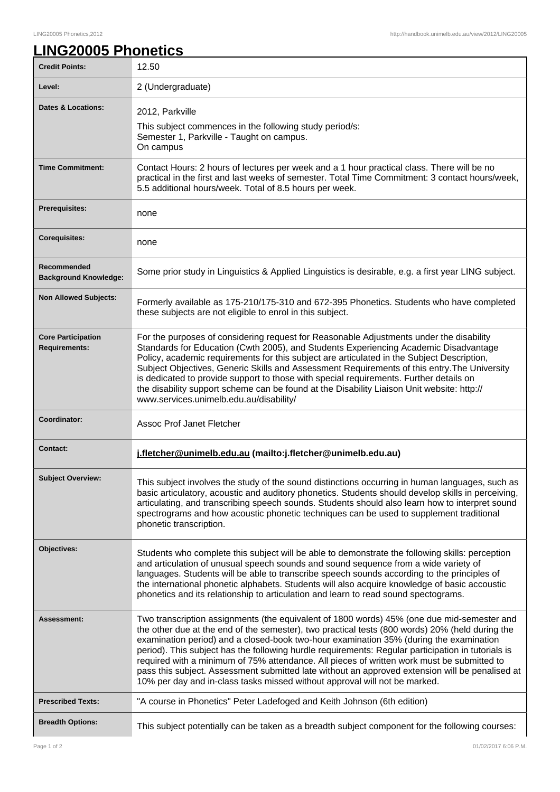## LING20005 Phonetics,2012 http://handbook.unimelb.edu.au/view/2012/LING20005

## **LING20005 Phonetics**

| <b>Credit Points:</b>                             | 12.50                                                                                                                                                                                                                                                                                                                                                                                                                                                                                                                                                                                                                                                                        |
|---------------------------------------------------|------------------------------------------------------------------------------------------------------------------------------------------------------------------------------------------------------------------------------------------------------------------------------------------------------------------------------------------------------------------------------------------------------------------------------------------------------------------------------------------------------------------------------------------------------------------------------------------------------------------------------------------------------------------------------|
| Level:                                            | 2 (Undergraduate)                                                                                                                                                                                                                                                                                                                                                                                                                                                                                                                                                                                                                                                            |
| <b>Dates &amp; Locations:</b>                     | 2012, Parkville<br>This subject commences in the following study period/s:<br>Semester 1, Parkville - Taught on campus.<br>On campus                                                                                                                                                                                                                                                                                                                                                                                                                                                                                                                                         |
| <b>Time Commitment:</b>                           | Contact Hours: 2 hours of lectures per week and a 1 hour practical class. There will be no<br>practical in the first and last weeks of semester. Total Time Commitment: 3 contact hours/week,<br>5.5 additional hours/week. Total of 8.5 hours per week.                                                                                                                                                                                                                                                                                                                                                                                                                     |
| Prerequisites:                                    | none                                                                                                                                                                                                                                                                                                                                                                                                                                                                                                                                                                                                                                                                         |
| <b>Corequisites:</b>                              | none                                                                                                                                                                                                                                                                                                                                                                                                                                                                                                                                                                                                                                                                         |
| Recommended<br><b>Background Knowledge:</b>       | Some prior study in Linguistics & Applied Linguistics is desirable, e.g. a first year LING subject.                                                                                                                                                                                                                                                                                                                                                                                                                                                                                                                                                                          |
| <b>Non Allowed Subjects:</b>                      | Formerly available as 175-210/175-310 and 672-395 Phonetics. Students who have completed<br>these subjects are not eligible to enrol in this subject.                                                                                                                                                                                                                                                                                                                                                                                                                                                                                                                        |
| <b>Core Participation</b><br><b>Requirements:</b> | For the purposes of considering request for Reasonable Adjustments under the disability<br>Standards for Education (Cwth 2005), and Students Experiencing Academic Disadvantage<br>Policy, academic requirements for this subject are articulated in the Subject Description,<br>Subject Objectives, Generic Skills and Assessment Requirements of this entry. The University<br>is dedicated to provide support to those with special requirements. Further details on<br>the disability support scheme can be found at the Disability Liaison Unit website: http://<br>www.services.unimelb.edu.au/disability/                                                             |
| Coordinator:                                      | Assoc Prof Janet Fletcher                                                                                                                                                                                                                                                                                                                                                                                                                                                                                                                                                                                                                                                    |
| <b>Contact:</b>                                   | j.fletcher@unimelb.edu.au (mailto:j.fletcher@unimelb.edu.au)                                                                                                                                                                                                                                                                                                                                                                                                                                                                                                                                                                                                                 |
| <b>Subject Overview:</b>                          | This subject involves the study of the sound distinctions occurring in human languages, such as<br>basic articulatory, acoustic and auditory phonetics. Students should develop skills in perceiving,<br>articulating, and transcribing speech sounds. Students should also learn how to interpret sound<br>spectrograms and how acoustic phonetic techniques can be used to supplement traditional<br>phonetic transcription.                                                                                                                                                                                                                                               |
| Objectives:                                       | Students who complete this subject will be able to demonstrate the following skills: perception<br>and articulation of unusual speech sounds and sound sequence from a wide variety of<br>languages. Students will be able to transcribe speech sounds according to the principles of<br>the international phonetic alphabets. Students will also acquire knowledge of basic accoustic<br>phonetics and its relationship to articulation and learn to read sound spectograms.                                                                                                                                                                                                |
| Assessment:                                       | Two transcription assignments (the equivalent of 1800 words) 45% (one due mid-semester and<br>the other due at the end of the semester), two practical tests (800 words) 20% (held during the<br>examination period) and a closed-book two-hour examination 35% (during the examination<br>period). This subject has the following hurdle requirements: Regular participation in tutorials is<br>required with a minimum of 75% attendance. All pieces of written work must be submitted to<br>pass this subject. Assessment submitted late without an approved extension will be penalised at<br>10% per day and in-class tasks missed without approval will not be marked. |
| <b>Prescribed Texts:</b>                          | "A course in Phonetics" Peter Ladefoged and Keith Johnson (6th edition)                                                                                                                                                                                                                                                                                                                                                                                                                                                                                                                                                                                                      |
| <b>Breadth Options:</b>                           | This subject potentially can be taken as a breadth subject component for the following courses:                                                                                                                                                                                                                                                                                                                                                                                                                                                                                                                                                                              |